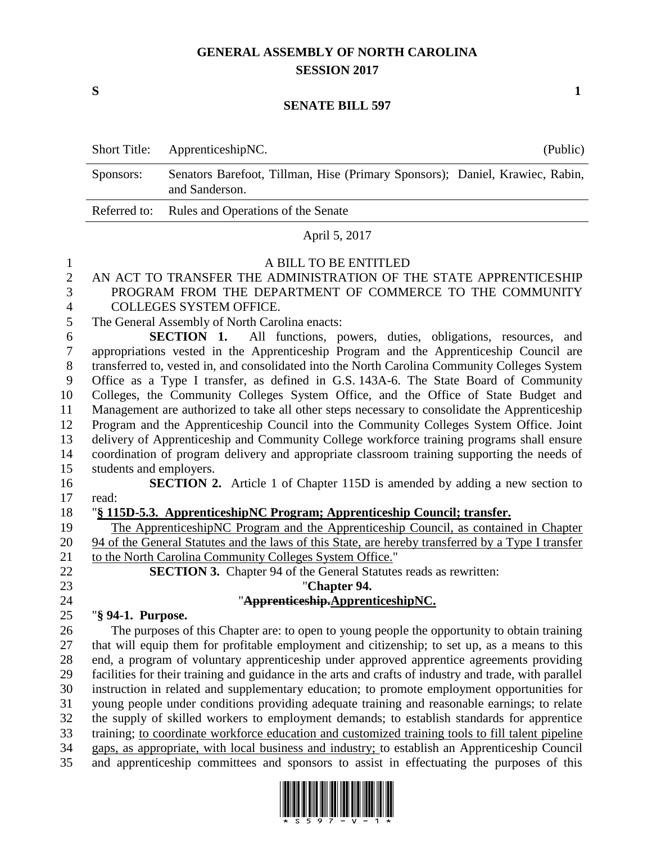# **GENERAL ASSEMBLY OF NORTH CAROLINA SESSION 2017**

**S 1**

#### **SENATE BILL 597**

| Short Title: ApprenticeshipNC.                                                                              |  |
|-------------------------------------------------------------------------------------------------------------|--|
| Senators Barefoot, Tillman, Hise (Primary Sponsors); Daniel, Krawiec, Rabin,<br>Sponsors:<br>and Sanderson. |  |
| Referred to: Rules and Operations of the Senate                                                             |  |

#### April 5, 2017

#### A BILL TO BE ENTITLED

- AN ACT TO TRANSFER THE ADMINISTRATION OF THE STATE APPRENTICESHIP PROGRAM FROM THE DEPARTMENT OF COMMERCE TO THE COMMUNITY
- COLLEGES SYSTEM OFFICE.
- The General Assembly of North Carolina enacts:

 **SECTION 1.** All functions, powers, duties, obligations, resources, and appropriations vested in the Apprenticeship Program and the Apprenticeship Council are transferred to, vested in, and consolidated into the North Carolina Community Colleges System Office as a Type I transfer, as defined in G.S. 143A-6. The State Board of Community Colleges, the Community Colleges System Office, and the Office of State Budget and Management are authorized to take all other steps necessary to consolidate the Apprenticeship Program and the Apprenticeship Council into the Community Colleges System Office. Joint delivery of Apprenticeship and Community College workforce training programs shall ensure coordination of program delivery and appropriate classroom training supporting the needs of students and employers.

- **SECTION 2.** Article 1 of Chapter 115D is amended by adding a new section to
- read: "**§ 115D-5.3. ApprenticeshipNC Program; Apprenticeship Council; transfer.**

 The ApprenticeshipNC Program and the Apprenticeship Council, as contained in Chapter 94 of the General Statutes and the laws of this State, are hereby transferred by a Type I transfer 21 to the North Carolina Community Colleges System Office."

**SECTION 3.** Chapter 94 of the General Statutes reads as rewritten:

"**Chapter 94.**

## "**Apprenticeship.ApprenticeshipNC.**

"**§ 94-1. Purpose.**

 The purposes of this Chapter are: to open to young people the opportunity to obtain training that will equip them for profitable employment and citizenship; to set up, as a means to this end, a program of voluntary apprenticeship under approved apprentice agreements providing facilities for their training and guidance in the arts and crafts of industry and trade, with parallel instruction in related and supplementary education; to promote employment opportunities for young people under conditions providing adequate training and reasonable earnings; to relate the supply of skilled workers to employment demands; to establish standards for apprentice training; to coordinate workforce education and customized training tools to fill talent pipeline gaps, as appropriate, with local business and industry; to establish an Apprenticeship Council and apprenticeship committees and sponsors to assist in effectuating the purposes of this

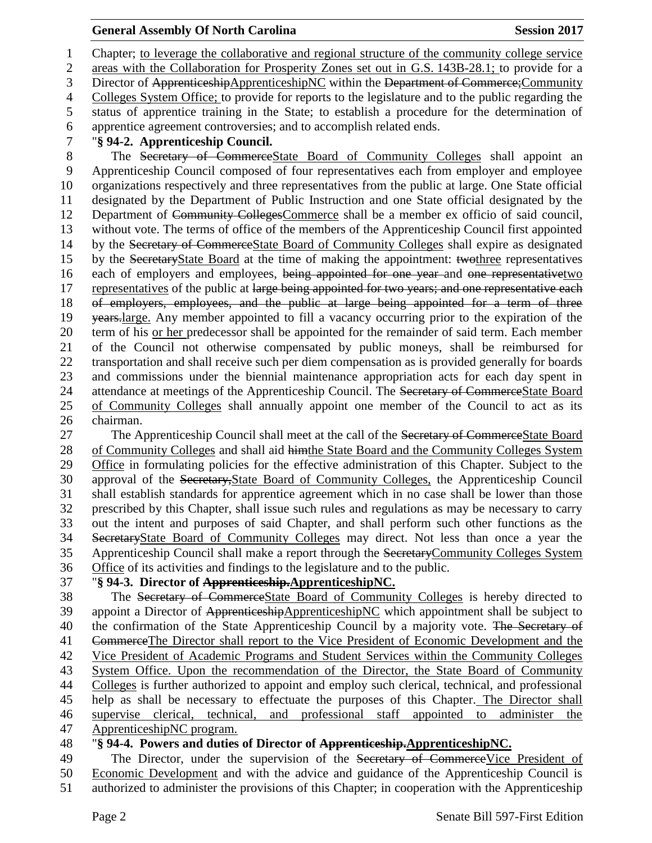Chapter; to leverage the collaborative and regional structure of the community college service areas with the Collaboration for Prosperity Zones set out in G.S. 143B-28.1; to provide for a 3 Director of ApprenticeshipApprenticeshipNC within the Department of Commerce; Community Colleges System Office; to provide for reports to the legislature and to the public regarding the status of apprentice training in the State; to establish a procedure for the determination of apprentice agreement controversies; and to accomplish related ends. "**§ 94-2. Apprenticeship Council.** The Secretary of CommerceState Board of Community Colleges shall appoint an Apprenticeship Council composed of four representatives each from employer and employee organizations respectively and three representatives from the public at large. One State official designated by the Department of Public Instruction and one State official designated by the Department of Community CollegesCommerce shall be a member ex officio of said council, without vote. The terms of office of the members of the Apprenticeship Council first appointed by the Secretary of CommerceState Board of Community Colleges shall expire as designated by the SecretaryState Board at the time of making the appointment: twothree representatives 16 each of employers and employees, being appointed for one year and one representativetwo 17 representatives of the public at large being appointed for two years; and one representative each of employers, employees, and the public at large being appointed for a term of three 19 years-large. Any member appointed to fill a vacancy occurring prior to the expiration of the term of his or her predecessor shall be appointed for the remainder of said term. Each member of the Council not otherwise compensated by public moneys, shall be reimbursed for transportation and shall receive such per diem compensation as is provided generally for boards and commissions under the biennial maintenance appropriation acts for each day spent in 24 attendance at meetings of the Apprenticeship Council. The Secretary of CommerceState Board of Community Colleges shall annually appoint one member of the Council to act as its chairman.

27 The Apprenticeship Council shall meet at the call of the Secretary of CommerceState Board of Community Colleges and shall aid himthe State Board and the Community Colleges System Office in formulating policies for the effective administration of this Chapter. Subject to the approval of the Secretary,State Board of Community Colleges, the Apprenticeship Council shall establish standards for apprentice agreement which in no case shall be lower than those prescribed by this Chapter, shall issue such rules and regulations as may be necessary to carry out the intent and purposes of said Chapter, and shall perform such other functions as the SecretaryState Board of Community Colleges may direct. Not less than once a year the Apprenticeship Council shall make a report through the SecretaryCommunity Colleges System Office of its activities and findings to the legislature and to the public.

# "**§ 94-3. Director of Apprenticeship.ApprenticeshipNC.**

38 The Secretary of CommerceState Board of Community Colleges is hereby directed to appoint a Director of ApprenticeshipApprenticeshipNC which appointment shall be subject to appoint a Director of ApprenticeshipApprenticeshipNC which appointment shall be subject to 40 the confirmation of the State Apprenticeship Council by a majority vote. The Secretary of CommerceThe Director shall report to the Vice President of Economic Development and the Vice President of Academic Programs and Student Services within the Community Colleges System Office. Upon the recommendation of the Director, the State Board of Community Colleges is further authorized to appoint and employ such clerical, technical, and professional help as shall be necessary to effectuate the purposes of this Chapter. The Director shall supervise clerical, technical, and professional staff appointed to administer the ApprenticeshipNC program.

# "**§ 94-4. Powers and duties of Director of Apprenticeship.ApprenticeshipNC.**

49 The Director, under the supervision of the Secretary of CommerceVice President of

 Economic Development and with the advice and guidance of the Apprenticeship Council is authorized to administer the provisions of this Chapter; in cooperation with the Apprenticeship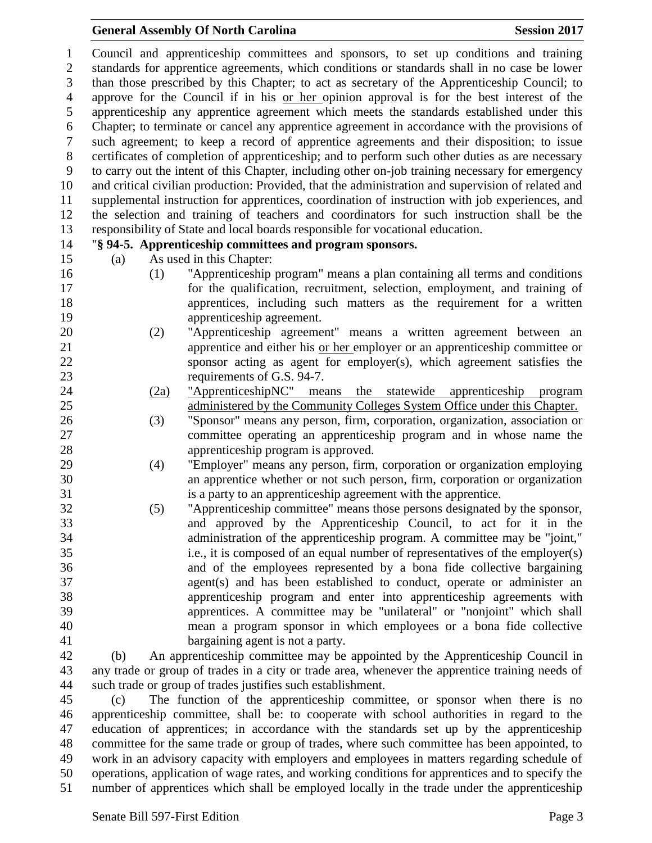Council and apprenticeship committees and sponsors, to set up conditions and training standards for apprentice agreements, which conditions or standards shall in no case be lower than those prescribed by this Chapter; to act as secretary of the Apprenticeship Council; to approve for the Council if in his or her opinion approval is for the best interest of the apprenticeship any apprentice agreement which meets the standards established under this Chapter; to terminate or cancel any apprentice agreement in accordance with the provisions of such agreement; to keep a record of apprentice agreements and their disposition; to issue certificates of completion of apprenticeship; and to perform such other duties as are necessary to carry out the intent of this Chapter, including other on-job training necessary for emergency and critical civilian production: Provided, that the administration and supervision of related and supplemental instruction for apprentices, coordination of instruction with job experiences, and the selection and training of teachers and coordinators for such instruction shall be the responsibility of State and local boards responsible for vocational education.

## "**§ 94-5. Apprenticeship committees and program sponsors.**

(a) As used in this Chapter:

- 
- (1) "Apprenticeship program" means a plan containing all terms and conditions for the qualification, recruitment, selection, employment, and training of apprentices, including such matters as the requirement for a written apprenticeship agreement.
- (2) "Apprenticeship agreement" means a written agreement between an apprentice and either his or her employer or an apprenticeship committee or sponsor acting as agent for employer(s), which agreement satisfies the requirements of G.S. 94-7.
- (2a) "ApprenticeshipNC" means the statewide apprenticeship program administered by the Community Colleges System Office under this Chapter.
- (3) "Sponsor" means any person, firm, corporation, organization, association or committee operating an apprenticeship program and in whose name the apprenticeship program is approved.
- (4) "Employer" means any person, firm, corporation or organization employing an apprentice whether or not such person, firm, corporation or organization is a party to an apprenticeship agreement with the apprentice.
- (5) "Apprenticeship committee" means those persons designated by the sponsor, and approved by the Apprenticeship Council, to act for it in the administration of the apprenticeship program. A committee may be "joint," i.e., it is composed of an equal number of representatives of the employer(s) and of the employees represented by a bona fide collective bargaining agent(s) and has been established to conduct, operate or administer an apprenticeship program and enter into apprenticeship agreements with apprentices. A committee may be "unilateral" or "nonjoint" which shall mean a program sponsor in which employees or a bona fide collective bargaining agent is not a party.

 (b) An apprenticeship committee may be appointed by the Apprenticeship Council in any trade or group of trades in a city or trade area, whenever the apprentice training needs of such trade or group of trades justifies such establishment.

 (c) The function of the apprenticeship committee, or sponsor when there is no apprenticeship committee, shall be: to cooperate with school authorities in regard to the education of apprentices; in accordance with the standards set up by the apprenticeship committee for the same trade or group of trades, where such committee has been appointed, to work in an advisory capacity with employers and employees in matters regarding schedule of operations, application of wage rates, and working conditions for apprentices and to specify the number of apprentices which shall be employed locally in the trade under the apprenticeship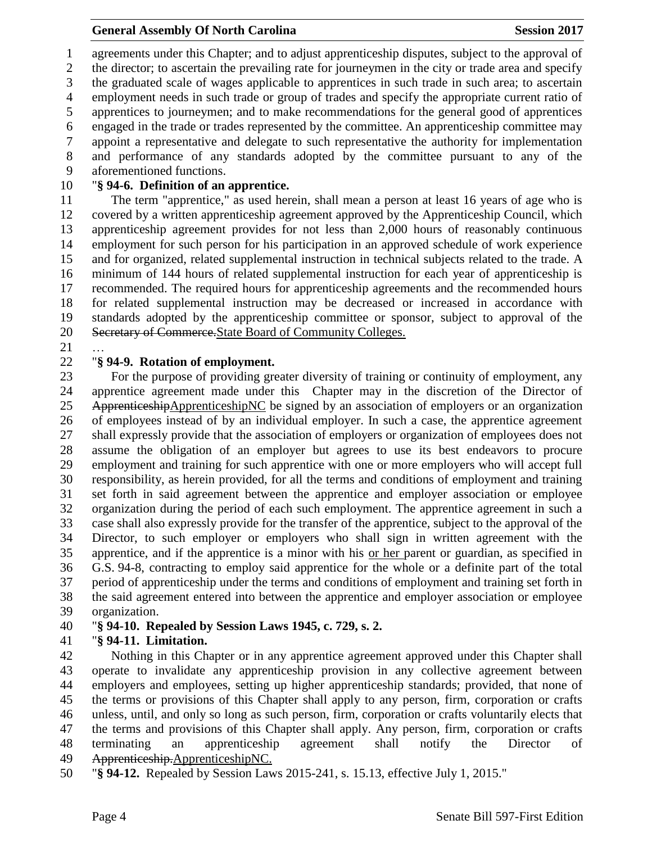agreements under this Chapter; and to adjust apprenticeship disputes, subject to the approval of the director; to ascertain the prevailing rate for journeymen in the city or trade area and specify the graduated scale of wages applicable to apprentices in such trade in such area; to ascertain employment needs in such trade or group of trades and specify the appropriate current ratio of apprentices to journeymen; and to make recommendations for the general good of apprentices engaged in the trade or trades represented by the committee. An apprenticeship committee may appoint a representative and delegate to such representative the authority for implementation and performance of any standards adopted by the committee pursuant to any of the aforementioned functions.

## "**§ 94-6. Definition of an apprentice.**

 The term "apprentice," as used herein, shall mean a person at least 16 years of age who is covered by a written apprenticeship agreement approved by the Apprenticeship Council, which apprenticeship agreement provides for not less than 2,000 hours of reasonably continuous employment for such person for his participation in an approved schedule of work experience and for organized, related supplemental instruction in technical subjects related to the trade. A minimum of 144 hours of related supplemental instruction for each year of apprenticeship is recommended. The required hours for apprenticeship agreements and the recommended hours for related supplemental instruction may be decreased or increased in accordance with standards adopted by the apprenticeship committee or sponsor, subject to approval of the Secretary of Commerce.State Board of Community Colleges.

…

### "**§ 94-9. Rotation of employment.**

 For the purpose of providing greater diversity of training or continuity of employment, any apprentice agreement made under this Chapter may in the discretion of the Director of 25 ApprenticeshipApprenticeshipNC be signed by an association of employers or an organization of employees instead of by an individual employer. In such a case, the apprentice agreement shall expressly provide that the association of employers or organization of employees does not assume the obligation of an employer but agrees to use its best endeavors to procure employment and training for such apprentice with one or more employers who will accept full responsibility, as herein provided, for all the terms and conditions of employment and training set forth in said agreement between the apprentice and employer association or employee organization during the period of each such employment. The apprentice agreement in such a case shall also expressly provide for the transfer of the apprentice, subject to the approval of the Director, to such employer or employers who shall sign in written agreement with the apprentice, and if the apprentice is a minor with his or her parent or guardian, as specified in G.S. 94-8, contracting to employ said apprentice for the whole or a definite part of the total period of apprenticeship under the terms and conditions of employment and training set forth in the said agreement entered into between the apprentice and employer association or employee organization.

# "**§ 94-10. Repealed by Session Laws 1945, c. 729, s. 2.**

# "**§ 94-11. Limitation.**

 Nothing in this Chapter or in any apprentice agreement approved under this Chapter shall operate to invalidate any apprenticeship provision in any collective agreement between employers and employees, setting up higher apprenticeship standards; provided, that none of the terms or provisions of this Chapter shall apply to any person, firm, corporation or crafts unless, until, and only so long as such person, firm, corporation or crafts voluntarily elects that the terms and provisions of this Chapter shall apply. Any person, firm, corporation or crafts terminating an apprenticeship agreement shall notify the Director of Apprenticeship.ApprenticeshipNC.

"**§ 94-12.** Repealed by Session Laws 2015-241, s. 15.13, effective July 1, 2015."